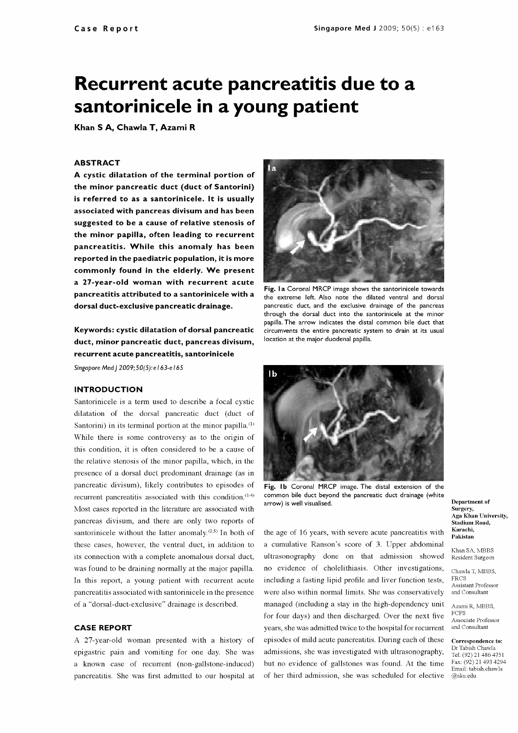# Recurrent acute pancreatitis due to a santorinicele in a young patient

Khan S A, Chawla T, Azami R

### ABSTRACT

A cystic dilatation of the terminal portion of the minor pancreatic duct (duct of Santorini) is referred to as a santorinicele. It is usually associated with pancreas divisum and has been suggested to be a cause of relative stenosis of the minor papilla, often leading to recurrent pancreatitis. While this anomaly has been reported in the paediatric population, it is more commonly found in the elderly. We present a 27 -year -old woman with recurrent acute pancreatitis attributed to a santorinicele with a dorsal duct-exclusive pancreatic drainage.

Keywords: cystic dilatation of dorsal pancreatic duct, minor pancreatic duct, pancreas divisum, recurrent acute pancreatitis, santorinicele Singapore Med J 2009;50(5): e 163-e 165

## INTRODUCTION

Santorinicele is a term used to describe a focal cystic dilatation of the dorsal pancreatic duct (duct of Santorini) in its terminal portion at the minor papilla. $<sup>(1)</sup>$ </sup> While there is some controversy as to the origin of this condition, it is often considered to be a cause of the relative stenosis of the minor papilla, which, in the presence of a dorsal duct predominant drainage (as in pancreatic divisum), likely contributes to episodes of recurrent pancreatitis associated with this condition.<sup>(1.4)</sup> Most cases reported in the literature are associated with pancreas divisum, and there are only two reports of santorinicele without the latter anomaly. $(2,5)$  In both of these cases, however, the ventral duct, in addition to its connection with a complete anomalous dorsal duct, was found to be draining normally at the major papilla. In this report, a young patient with recurrent acute pancreatitis associated with santorinicele in the presence of a "dorsal -duct -exclusive" drainage is described.

#### CASE REPORT

A 27 -year -old woman presented with a history of epigastric pain and vomiting for one day. She was a known case of recurrent (non -gallstone -induced) pancreatitis. She was first admitted to our hospital at



Fig. la Coronal MRCP image shows the santorinicele towards the extreme left. Also note the dilated ventral and dorsal pancreatic duct, and the exclusive drainage of the pancreas through the dorsal duct into the santorinicele at the minor papilla. The arrow indicates the distal common bile duct that circumvents the entire pancreatic system to drain at its usual location at the major duodenal papilla.



Fig. Ib Coronal MRCP image. The distal extension of the common bile duct beyond the pancreatic duct drainage (white arrow) is well visualised.

the age of 16 years, with severe acute pancreatitis with a cumulative Ranson's score of 3. Upper abdominal ultrasonography done on that admission showed no evidence of cholelithiasis. Other investigations, including a fasting lipid profile and liver function tests, managed (including a stay in the high-dependency unit for four days) and then discharged. Over the next five years, she was admitted twice to the hospital for recurrent episodes of mild acute pancreatitis. During each of these correspondence to: admissions, she was investigated with ultrasonography,  $\frac{Dr}{Tel}$ : (92) 21 486 4751 but no evidence of gallstones was found. At the time of her third admission, she was scheduled for elective

Department of Surgery, Aga Khan University, Stadium Road, Karachi, Pakistan

Khan SA, MBBS Resident Surgeon

Chawla T, MBBS, FRCS Assistant Professor and Consultant

Azami R, MBE S, FCPS Associate Professor and Consultant

Dr Tabish Chawla Fax: (92) 21 493 4294 Email: tabish.chawla @aku.edu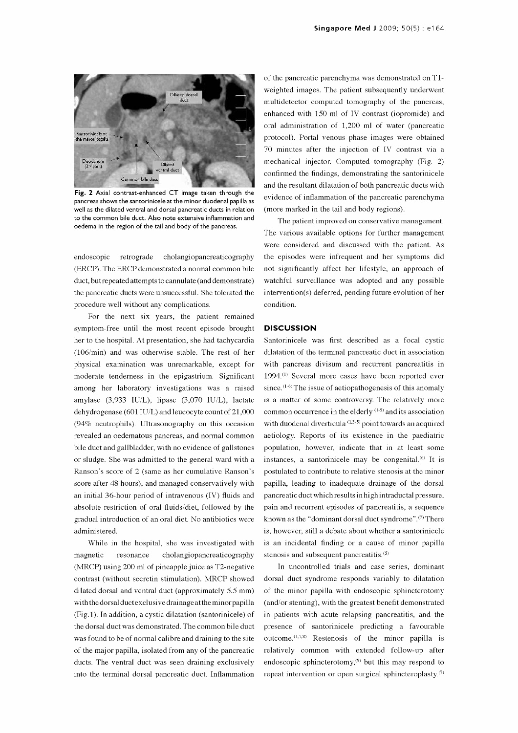

Fig. 2 Axial contrast-enhanced CT image taken through the pancreas shows the santorinicele at the minor duodenal papilla as well as the dilated ventral and dorsal pancreatic ducts in relation to the common bile duct. Also note extensive inflammation and oedema in the region of the tail and body of the pancreas.

endoscopie retrograde cholangiopancreaticography (ERCP). The ERCP demonstrated a normal common bile duct, but repeated attempts to cannulate (and demonstrate) the pancreatic ducts were unsuccessful. She tolerated the procedure well without any complications.

For the next six years, the patient remained symptom -free until the most recent episode brought her to the hospital. At presentation, she had tachycardia (106/min) and was otherwise stable. The rest of her physical examination was unremarkable, except for moderate tenderness in the epigastrium. Significant among her laboratory investigations was a raised amylase (3,933 IU/L), lipase (3,070 IU/L), lactate dehydrogenase (601 IU/L) and leucocyte count of 21,000 (94% neutrophils). Ultrasonography on this occasion revealed an oedematous pancreas, and normal common bile duct and gallbladder, with no evidence of gallstones or sludge. She was admitted to the general ward with a Ranson's score of 2 (same as her cumulative Ranson's score after 48 hours), and managed conservatively with an initial 36 -hour period of intravenous (IV) fluids and absolute restriction of oral fluids/diet, followed by the gradual introduction of an oral diet. No antibiotics were administered.

While in the hospital, she was investigated with magnetic resonance cholangiopancreaticography (MRCP) using 200 ml of pineapple juice as T2 -negative contrast (without secretin stimulation). MRCP showed dilated dorsal and ventral duct (approximately 5.5 mm) with the dorsal ductexclusive drainageatthe minor papilla (Fig.1). In addition, a cystic dilatation (santorinicele) of the dorsal duct was demonstrated. The common bile duct was found to be of normal calibre and draining to the site of the major papilla, isolated from any of the pancreatic ducts. The ventral duct was seen draining exclusively into the terminal dorsal pancreatic duct. Inflammation

of the pancreatic parenchyma was demonstrated on T1 weighted images. The patient subsequently underwent multidetector computed tomography of the pancreas, enhanced with 150 ml of IV contrast (iopromide) and oral administration of 1,200 ml of water (pancreatic protocol). Portal venous phase images were obtained 70 minutes after the injection of IV contrast via a mechanical injector. Computed tomography (Fig. 2) confirmed the findings, demonstrating the santorinicele and the resultant dilatation of both pancreatic ducts with evidence of inflammation of the pancreatic parenchyma (more marked in the tail and body regions).

The patient improved on conservative management. The various available options for further management were considered and discussed with the patient. As the episodes were infrequent and her symptoms did not significantly affect her lifestyle, an approach of watchful surveillance was adopted and any possible intervention(s) deferred, pending future evolution of her condition.

#### **DISCUSSION**

Santorinicele was first described as a focal cystic dilatation of the terminal pancreatic duct in association with pancreas divisum and recurrent pancreatitis in 1994.'1' Several more cases have been reported ever since.  $(1-6)$  The issue of aetiopathogenesis of this anomaly is a matter of some controversy. The relatively more common occurrence in the elderly  $(1-5)$  and its association with duodenal diverticula<sup>(1,3-5)</sup> point towards an acquired aetiology. Reports of its existence in the paediatric population, however, indicate that in at least some instances, a santorinicele may be congenital. $66$  It is postulated to contribute to relative stenosis at the minor papilla, leading to inadequate drainage of the dorsal pancreatic duct which results in high intraductal pressure, pain and recurrent episodes of pancreatitis, a sequence known as the "dominant dorsal duct syndrome". $\sigma$ ) There is, however, still a debate about whether a santorinicele is an incidental finding or a cause of minor papilla stenosis and subsequent pancreatitis.<sup>(5)</sup>

In uncontrolled trials and case series, dominant dorsal duct syndrome responds variably to dilatation of the minor papilla with endoscopie sphincterotomy (and/or stenting), with the greatest benefit demonstrated in patients with acute relapsing pancreatitis, and the presence of santorinicele predicting a favourable outcome.<sup> $(1,7,8)$ </sup> Restenosis of the minor papilla is relatively common with extended follow-up after endoscopic sphincterotomy,<sup>(9)</sup> but this may respond to repeat intervention or open surgical sphincteroplasty. $\sigma$